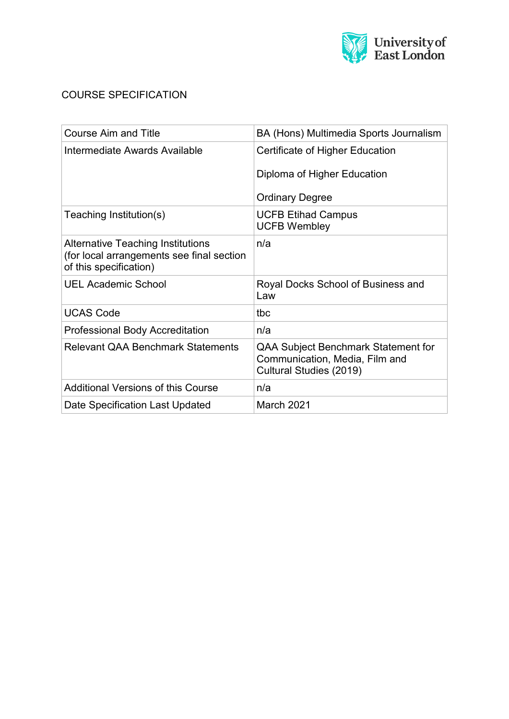

## COURSE SPECIFICATION

| <b>Course Aim and Title</b>                                                                              | BA (Hons) Multimedia Sports Journalism                                                                  |  |
|----------------------------------------------------------------------------------------------------------|---------------------------------------------------------------------------------------------------------|--|
| Intermediate Awards Available                                                                            | Certificate of Higher Education                                                                         |  |
|                                                                                                          | Diploma of Higher Education                                                                             |  |
|                                                                                                          | <b>Ordinary Degree</b>                                                                                  |  |
| Teaching Institution(s)                                                                                  | <b>UCFB Etihad Campus</b><br><b>UCFB Wembley</b>                                                        |  |
| Alternative Teaching Institutions<br>(for local arrangements see final section<br>of this specification) | n/a                                                                                                     |  |
| <b>UEL Academic School</b>                                                                               | Royal Docks School of Business and<br>Law                                                               |  |
| <b>UCAS Code</b>                                                                                         | tbc                                                                                                     |  |
| <b>Professional Body Accreditation</b>                                                                   | n/a                                                                                                     |  |
| <b>Relevant QAA Benchmark Statements</b>                                                                 | <b>QAA Subject Benchmark Statement for</b><br>Communication, Media, Film and<br>Cultural Studies (2019) |  |
| <b>Additional Versions of this Course</b>                                                                | n/a                                                                                                     |  |
| Date Specification Last Updated                                                                          | March 2021                                                                                              |  |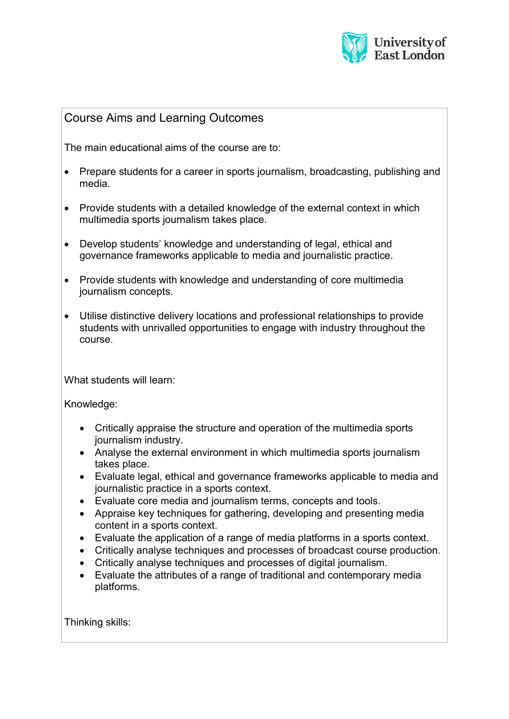

## Course Aims and Learning Outcomes

The main educational aims of the course are to:

- Prepare students for a career in sports journalism, broadcasting, publishing and media.
- Provide students with a detailed knowledge of the external context in which multimedia sports journalism takes place.
- Develop students' knowledge and understanding of legal, ethical and governance frameworks applicable to media and journalistic practice.
- Provide students with knowledge and understanding of core multimedia journalism concepts.
- Utilise distinctive delivery locations and professional relationships to provide students with unrivalled opportunities to engage with industry throughout the course.

What students will learn:

Knowledge:

- Critically appraise the structure and operation of the multimedia sports journalism industry.
- Analyse the external environment in which multimedia sports journalism takes place.
- Evaluate legal, ethical and governance frameworks applicable to media and journalistic practice in a sports context.
- Evaluate core media and journalism terms, concepts and tools.
- Appraise key techniques for gathering, developing and presenting media content in a sports context.
- Evaluate the application of a range of media platforms in a sports context.
- Critically analyse techniques and processes of broadcast course production.
- Critically analyse techniques and processes of digital journalism.
- Evaluate the attributes of a range of traditional and contemporary media platforms.

Thinking skills: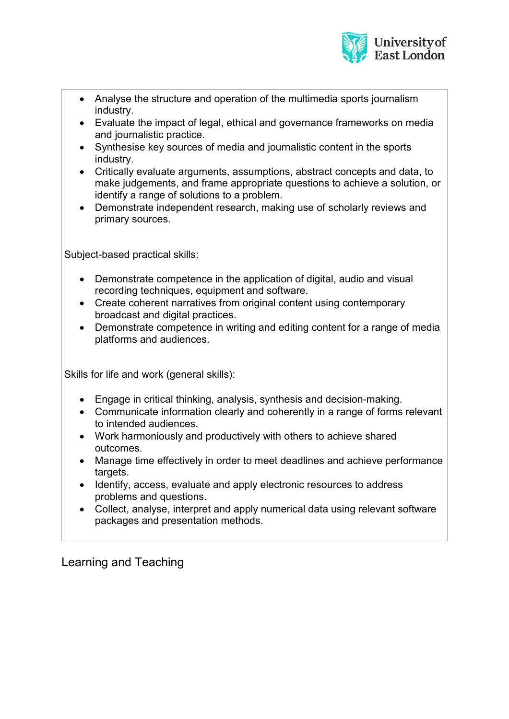

- Analyse the structure and operation of the multimedia sports journalism industry.
- Evaluate the impact of legal, ethical and governance frameworks on media and journalistic practice.
- Synthesise key sources of media and journalistic content in the sports industry.
- Critically evaluate arguments, assumptions, abstract concepts and data, to make judgements, and frame appropriate questions to achieve a solution, or identify a range of solutions to a problem.
- Demonstrate independent research, making use of scholarly reviews and primary sources.

Subject-based practical skills:

- Demonstrate competence in the application of digital, audio and visual recording techniques, equipment and software.
- Create coherent narratives from original content using contemporary broadcast and digital practices.
- Demonstrate competence in writing and editing content for a range of media platforms and audiences.

Skills for life and work (general skills):

- Engage in critical thinking, analysis, synthesis and decision-making.
- Communicate information clearly and coherently in a range of forms relevant to intended audiences.
- Work harmoniously and productively with others to achieve shared outcomes.
- Manage time effectively in order to meet deadlines and achieve performance targets.
- Identify, access, evaluate and apply electronic resources to address problems and questions.
- Collect, analyse, interpret and apply numerical data using relevant software packages and presentation methods.

# Learning and Teaching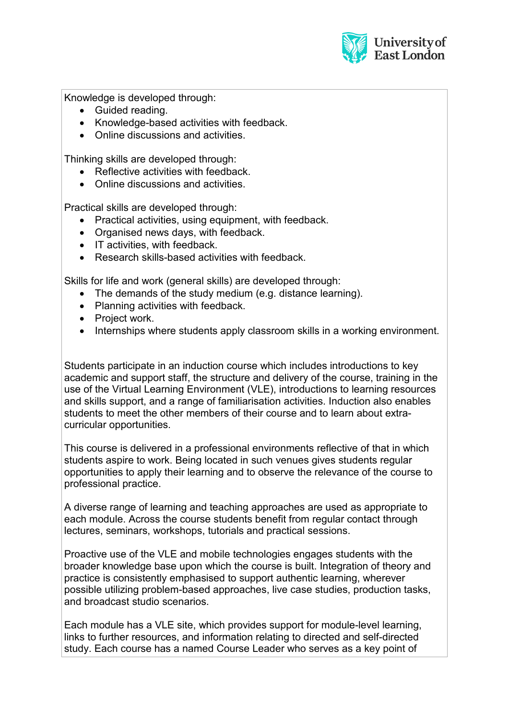

Knowledge is developed through:

- Guided reading.
- Knowledge-based activities with feedback.
- Online discussions and activities.

Thinking skills are developed through:

- Reflective activities with feedback.
- Online discussions and activities

Practical skills are developed through:

- Practical activities, using equipment, with feedback.
- Organised news days, with feedback.
- IT activities, with feedback.
- Research skills-based activities with feedback.

Skills for life and work (general skills) are developed through:

- The demands of the study medium (e.g. distance learning).
- Planning activities with feedback.
- Project work.
- Internships where students apply classroom skills in a working environment.

Students participate in an induction course which includes introductions to key academic and support staff, the structure and delivery of the course, training in the use of the Virtual Learning Environment (VLE), introductions to learning resources and skills support, and a range of familiarisation activities. Induction also enables students to meet the other members of their course and to learn about extracurricular opportunities.

This course is delivered in a professional environments reflective of that in which students aspire to work. Being located in such venues gives students regular opportunities to apply their learning and to observe the relevance of the course to professional practice.

A diverse range of learning and teaching approaches are used as appropriate to each module. Across the course students benefit from regular contact through lectures, seminars, workshops, tutorials and practical sessions.

Proactive use of the VLE and mobile technologies engages students with the broader knowledge base upon which the course is built. Integration of theory and practice is consistently emphasised to support authentic learning, wherever possible utilizing problem-based approaches, live case studies, production tasks, and broadcast studio scenarios.

Each module has a VLE site, which provides support for module-level learning, links to further resources, and information relating to directed and self-directed study. Each course has a named Course Leader who serves as a key point of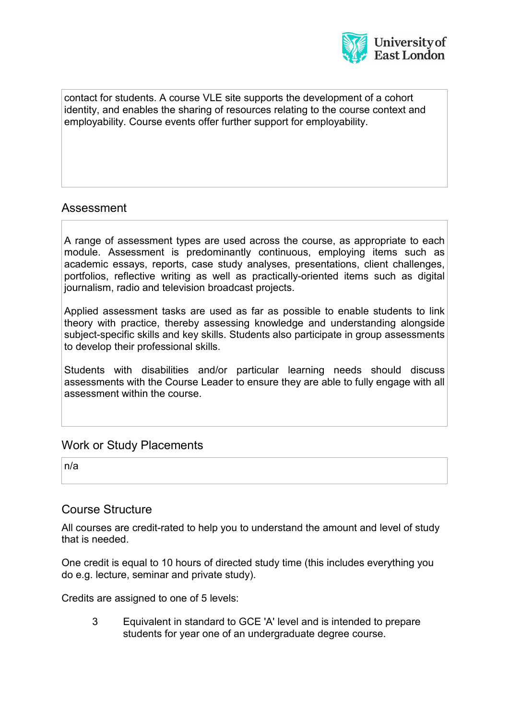

contact for students. A course VLE site supports the development of a cohort identity, and enables the sharing of resources relating to the course context and employability. Course events offer further support for employability.

#### Assessment

A range of assessment types are used across the course, as appropriate to each module. Assessment is predominantly continuous, employing items such as academic essays, reports, case study analyses, presentations, client challenges, portfolios, reflective writing as well as practically-oriented items such as digital journalism, radio and television broadcast projects.

Applied assessment tasks are used as far as possible to enable students to link theory with practice, thereby assessing knowledge and understanding alongside subject-specific skills and key skills. Students also participate in group assessments to develop their professional skills.

Students with disabilities and/or particular learning needs should discuss assessments with the Course Leader to ensure they are able to fully engage with all assessment within the course.

#### Work or Study Placements

n/a

#### Course Structure

All courses are credit-rated to help you to understand the amount and level of study that is needed.

One credit is equal to 10 hours of directed study time (this includes everything you do e.g. lecture, seminar and private study).

Credits are assigned to one of 5 levels:

3 Equivalent in standard to GCE 'A' level and is intended to prepare students for year one of an undergraduate degree course.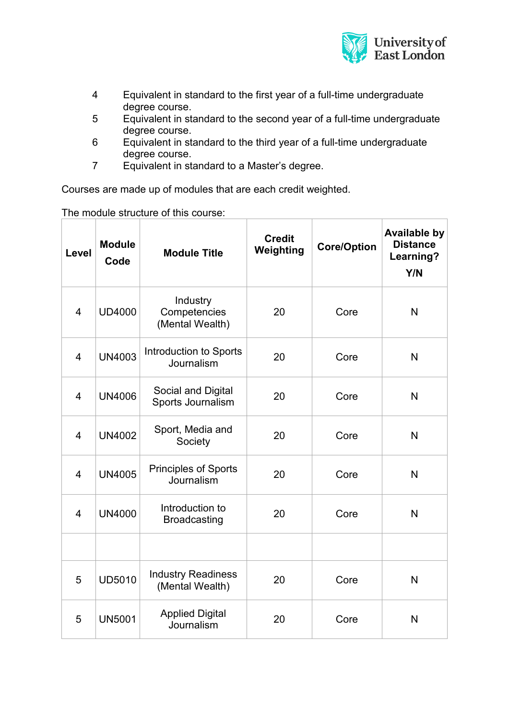

- 4 Equivalent in standard to the first year of a full-time undergraduate degree course.
- 5 Equivalent in standard to the second year of a full-time undergraduate degree course.
- 6 Equivalent in standard to the third year of a full-time undergraduate degree course.
- 7 Equivalent in standard to a Master's degree.

Courses are made up of modules that are each credit weighted.

The module structure of this course:

| Level          | <b>Module</b><br>Code | <b>Module Title</b>                          | <b>Credit</b><br>Weighting | <b>Core/Option</b> | <b>Available by</b><br><b>Distance</b><br>Learning?<br>Y/N |
|----------------|-----------------------|----------------------------------------------|----------------------------|--------------------|------------------------------------------------------------|
| $\overline{4}$ | <b>UD4000</b>         | Industry<br>Competencies<br>(Mental Wealth)  | 20                         | Core               | N                                                          |
| $\overline{4}$ | <b>UN4003</b>         | Introduction to Sports<br>Journalism         | 20                         | Core               | N                                                          |
| $\overline{4}$ | <b>UN4006</b>         | Social and Digital<br>Sports Journalism      | 20                         | Core               | N                                                          |
| $\overline{4}$ | <b>UN4002</b>         | Sport, Media and<br>Society                  | 20                         | Core               | N                                                          |
| $\overline{4}$ | <b>UN4005</b>         | <b>Principles of Sports</b><br>Journalism    | 20                         | Core               | N                                                          |
| $\overline{4}$ | <b>UN4000</b>         | Introduction to<br><b>Broadcasting</b>       | 20                         | Core               | N                                                          |
|                |                       |                                              |                            |                    |                                                            |
| 5              | <b>UD5010</b>         | <b>Industry Readiness</b><br>(Mental Wealth) | 20                         | Core               | N                                                          |
| 5              | <b>UN5001</b>         | <b>Applied Digital</b><br>Journalism         | 20                         | Core               | N                                                          |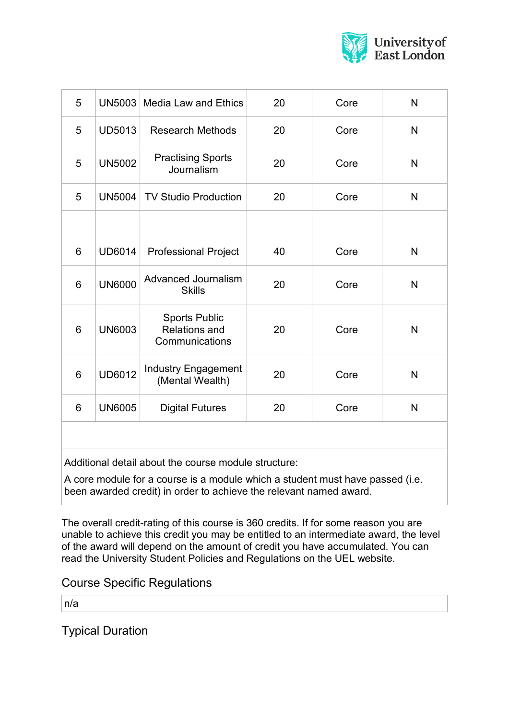

| 5               | <b>UN5003</b> | <b>Media Law and Ethics</b>                                    | 20 | Core | N |
|-----------------|---------------|----------------------------------------------------------------|----|------|---|
| 5               | <b>UD5013</b> | <b>Research Methods</b>                                        | 20 | Core | N |
| 5               | <b>UN5002</b> | <b>Practising Sports</b><br>Journalism                         | 20 | Core | N |
| 5               | <b>UN5004</b> | <b>TV Studio Production</b>                                    | 20 | Core | N |
|                 |               |                                                                |    |      |   |
| 6               | <b>UD6014</b> | <b>Professional Project</b>                                    | 40 | Core | N |
| $6\phantom{1}6$ | <b>UN6000</b> | <b>Advanced Journalism</b><br><b>Skills</b>                    | 20 | Core | N |
| $6\phantom{1}6$ | <b>UN6003</b> | <b>Sports Public</b><br><b>Relations and</b><br>Communications | 20 | Core | N |
| 6               | <b>UD6012</b> | <b>Industry Engagement</b><br>(Mental Wealth)                  | 20 | Core | N |
| 6               | <b>UN6005</b> | <b>Digital Futures</b>                                         | 20 | Core | N |
|                 |               |                                                                |    |      |   |

Additional detail about the course module structure:

A core module for a course is a module which a student must have passed (i.e. been awarded credit) in order to achieve the relevant named award.

The overall credit-rating of this course is 360 credits. If for some reason you are unable to achieve this credit you may be entitled to an intermediate award, the level of the award will depend on the amount of credit you have accumulated. You can read the University Student Policies and Regulations on the UEL website.

Course Specific Regulations

n/a

Typical Duration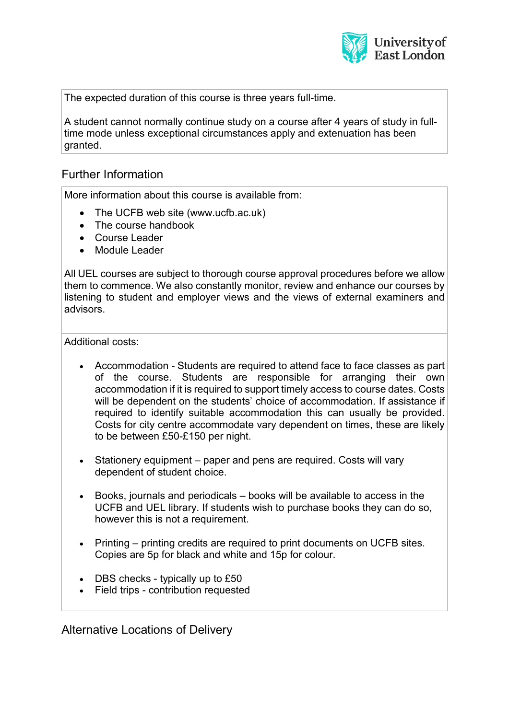

The expected duration of this course is three years full-time.

A student cannot normally continue study on a course after 4 years of study in fulltime mode unless exceptional circumstances apply and extenuation has been granted.

## Further Information

More information about this course is available from:

- The UCFB web site (www.ucfb.ac.uk)
- The course handbook
- Course Leader
- Module Leader

All UEL courses are subject to thorough course approval procedures before we allow them to commence. We also constantly monitor, review and enhance our courses by listening to student and employer views and the views of external examiners and advisors.

Additional costs:

- Accommodation Students are required to attend face to face classes as part of the course. Students are responsible for arranging their own accommodation if it is required to support timely access to course dates. Costs will be dependent on the students' choice of accommodation. If assistance if required to identify suitable accommodation this can usually be provided. Costs for city centre accommodate vary dependent on times, these are likely to be between £50-£150 per night.
- Stationery equipment paper and pens are required. Costs will vary dependent of student choice.
- Books, journals and periodicals books will be available to access in the UCFB and UEL library. If students wish to purchase books they can do so, however this is not a requirement.
- Printing printing credits are required to print documents on UCFB sites. Copies are 5p for black and white and 15p for colour.
- DBS checks typically up to £50
- Field trips contribution requested

Alternative Locations of Delivery